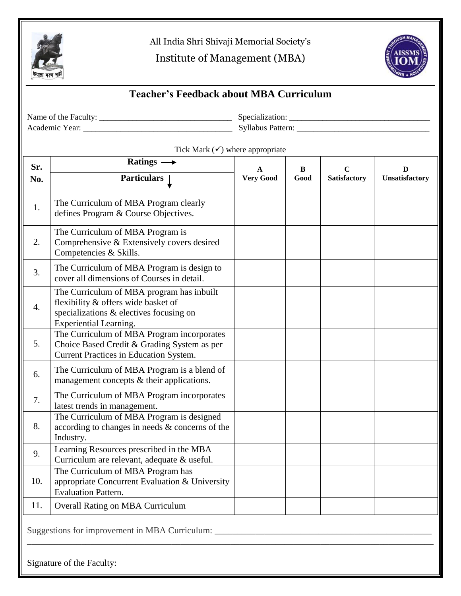

All India Shri Shivaji Memorial Society's

Institute of Management (MBA)



## **Teacher's Feedback about MBA Curriculum**

Name of the Faculty: \_\_\_\_\_\_\_\_\_\_\_\_\_\_\_\_\_\_\_\_\_\_\_\_\_\_\_\_\_\_\_\_ Specialization: \_\_\_\_\_\_\_\_\_\_\_\_\_\_\_\_\_\_\_\_\_\_\_\_\_\_\_\_\_\_\_\_\_\_ Academic Year: \_\_\_\_\_\_\_\_\_\_\_\_\_\_\_\_\_\_\_\_\_\_\_\_\_\_\_\_\_\_\_\_\_\_\_\_ Syllabus Pattern: \_\_\_\_\_\_\_\_\_\_\_\_\_\_\_\_\_\_\_\_\_\_\_\_\_\_\_\_\_\_\_\_

Tick Mark  $(\checkmark)$  where appropriate

| Sr.<br>No.                                                                                                    | Ratings $\longrightarrow$                                                                                                                                    | A<br><b>Very Good</b> | B<br>Good | $\mathbf C$<br><b>Satisfactory</b> | D<br>Unsatisfactory |
|---------------------------------------------------------------------------------------------------------------|--------------------------------------------------------------------------------------------------------------------------------------------------------------|-----------------------|-----------|------------------------------------|---------------------|
|                                                                                                               | <b>Particulars</b>                                                                                                                                           |                       |           |                                    |                     |
| 1.                                                                                                            | The Curriculum of MBA Program clearly<br>defines Program & Course Objectives.                                                                                |                       |           |                                    |                     |
| 2.                                                                                                            | The Curriculum of MBA Program is<br>Comprehensive & Extensively covers desired<br>Competencies & Skills.                                                     |                       |           |                                    |                     |
| 3.                                                                                                            | The Curriculum of MBA Program is design to<br>cover all dimensions of Courses in detail.                                                                     |                       |           |                                    |                     |
| 4.                                                                                                            | The Curriculum of MBA program has inbuilt<br>flexibility & offers wide basket of<br>specializations & electives focusing on<br><b>Experiential Learning.</b> |                       |           |                                    |                     |
| 5.                                                                                                            | The Curriculum of MBA Program incorporates<br>Choice Based Credit & Grading System as per<br>Current Practices in Education System.                          |                       |           |                                    |                     |
| 6.                                                                                                            | The Curriculum of MBA Program is a blend of<br>management concepts & their applications.                                                                     |                       |           |                                    |                     |
| 7.                                                                                                            | The Curriculum of MBA Program incorporates<br>latest trends in management.                                                                                   |                       |           |                                    |                     |
| 8.                                                                                                            | The Curriculum of MBA Program is designed<br>according to changes in needs & concerns of the<br>Industry.                                                    |                       |           |                                    |                     |
| 9.                                                                                                            | Learning Resources prescribed in the MBA<br>Curriculum are relevant, adequate & useful.                                                                      |                       |           |                                    |                     |
| 10.                                                                                                           | The Curriculum of MBA Program has<br>appropriate Concurrent Evaluation & University<br><b>Evaluation Pattern.</b>                                            |                       |           |                                    |                     |
| 11.                                                                                                           | <b>Overall Rating on MBA Curriculum</b>                                                                                                                      |                       |           |                                    |                     |
| Suggestions for improvement in MBA Curriculum: _________________________________<br>Signature of the Faculty: |                                                                                                                                                              |                       |           |                                    |                     |